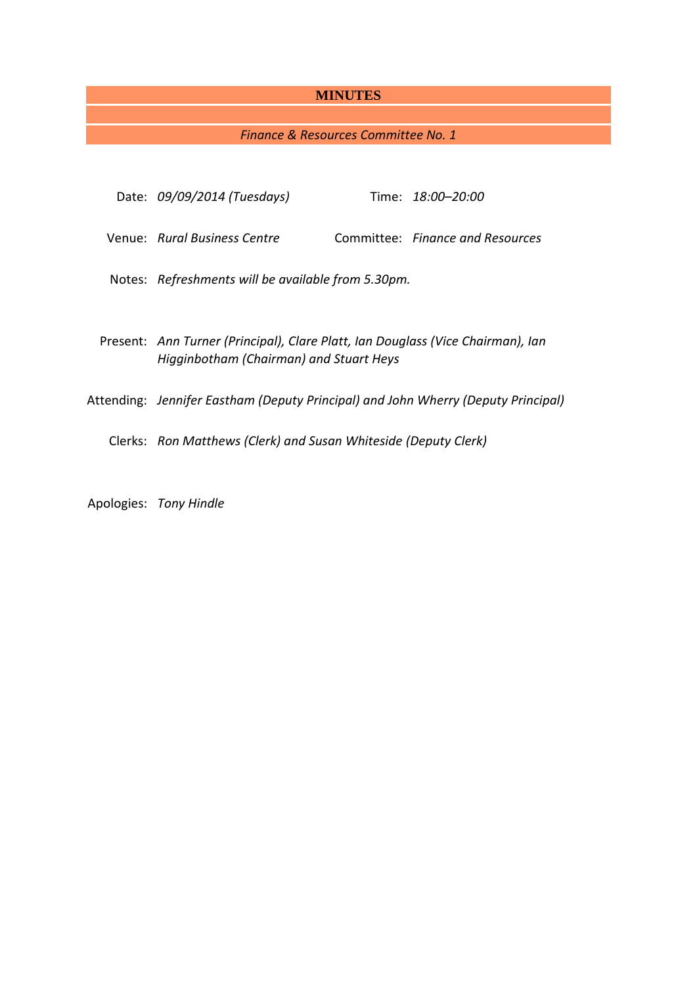## **MINUTES**

# *Finance & Resources Committee No. 1*

| Date: 09/09/2014 (Tuesdays)                                                                                                |  | Time: <i>18:00–20:00</i>         |
|----------------------------------------------------------------------------------------------------------------------------|--|----------------------------------|
| Venue: Rural Business Centre                                                                                               |  | Committee: Finance and Resources |
| Notes: Refreshments will be available from 5.30pm.                                                                         |  |                                  |
| Present: Ann Turner (Principal), Clare Platt, Ian Douglass (Vice Chairman), Ian<br>Higginbotham (Chairman) and Stuart Heys |  |                                  |
| Attending: Jennifer Eastham (Deputy Principal) and John Wherry (Deputy Principal)                                          |  |                                  |
| Clerks: Ron Matthews (Clerk) and Susan Whiteside (Deputy Clerk)                                                            |  |                                  |
|                                                                                                                            |  |                                  |

Apologies: *Tony Hindle*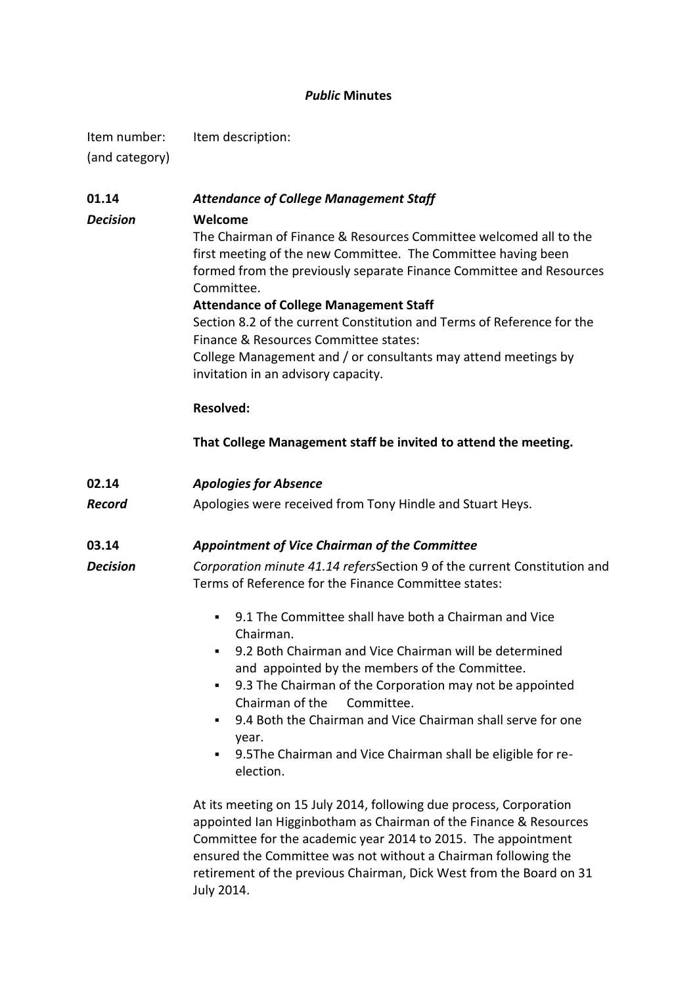## *Public* **Minutes**

Item number: Item description: (and category)

| 01.14           | <b>Attendance of College Management Staff</b>                                                                                                                                                                                                                                                                                                                                                                                                                                                                   |  |  |  |
|-----------------|-----------------------------------------------------------------------------------------------------------------------------------------------------------------------------------------------------------------------------------------------------------------------------------------------------------------------------------------------------------------------------------------------------------------------------------------------------------------------------------------------------------------|--|--|--|
| <b>Decision</b> | Welcome<br>The Chairman of Finance & Resources Committee welcomed all to the<br>first meeting of the new Committee. The Committee having been<br>formed from the previously separate Finance Committee and Resources<br>Committee.<br><b>Attendance of College Management Staff</b><br>Section 8.2 of the current Constitution and Terms of Reference for the<br>Finance & Resources Committee states:<br>College Management and / or consultants may attend meetings by<br>invitation in an advisory capacity. |  |  |  |
|                 | <b>Resolved:</b>                                                                                                                                                                                                                                                                                                                                                                                                                                                                                                |  |  |  |
|                 |                                                                                                                                                                                                                                                                                                                                                                                                                                                                                                                 |  |  |  |
|                 | That College Management staff be invited to attend the meeting.                                                                                                                                                                                                                                                                                                                                                                                                                                                 |  |  |  |
| 02.14           | <b>Apologies for Absence</b>                                                                                                                                                                                                                                                                                                                                                                                                                                                                                    |  |  |  |
| <b>Record</b>   | Apologies were received from Tony Hindle and Stuart Heys.                                                                                                                                                                                                                                                                                                                                                                                                                                                       |  |  |  |
| 03.14           | Appointment of Vice Chairman of the Committee                                                                                                                                                                                                                                                                                                                                                                                                                                                                   |  |  |  |
| <b>Decision</b> | Corporation minute 41.14 refersSection 9 of the current Constitution and<br>Terms of Reference for the Finance Committee states:                                                                                                                                                                                                                                                                                                                                                                                |  |  |  |
|                 | 9.1 The Committee shall have both a Chairman and Vice<br>٠<br>Chairman.<br>9.2 Both Chairman and Vice Chairman will be determined<br>٠<br>and appointed by the members of the Committee.<br>9.3 The Chairman of the Corporation may not be appointed<br>٠<br>Chairman of the<br>Committee.<br>9.4 Both the Chairman and Vice Chairman shall serve for one<br>٠<br>year.<br>9.5The Chairman and Vice Chairman shall be eligible for re-<br>٠<br>election.                                                        |  |  |  |
|                 | At its meeting on 15 July 2014, following due process, Corporation<br>appointed Ian Higginbotham as Chairman of the Finance & Resources<br>Committee for the academic year 2014 to 2015. The appointment<br>ensured the Committee was not without a Chairman following the<br>retirement of the previous Chairman, Dick West from the Board on 31<br>July 2014.                                                                                                                                                 |  |  |  |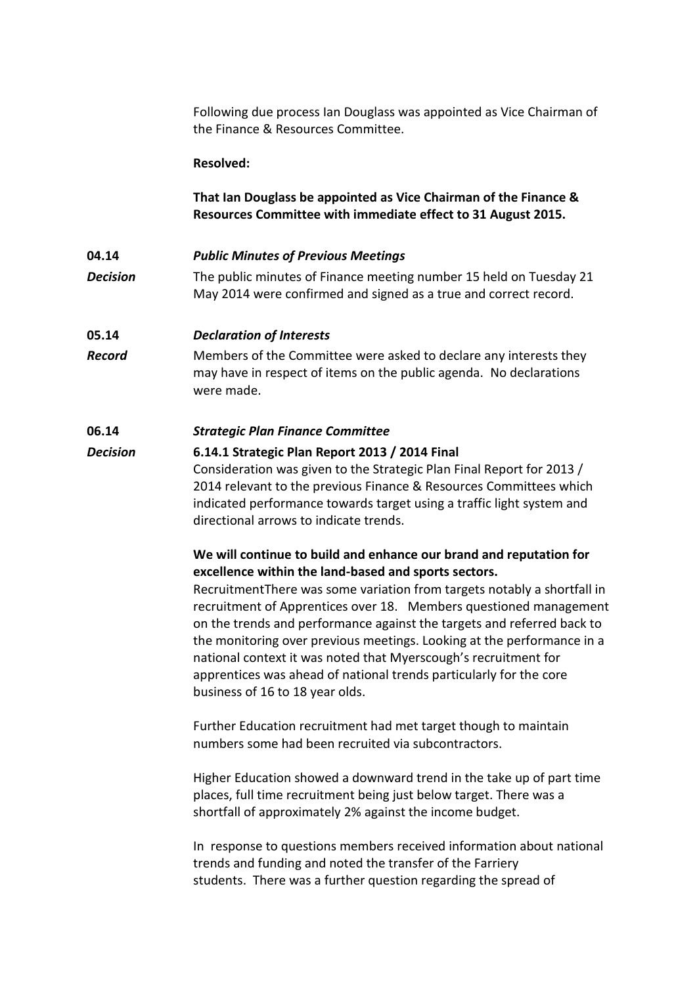Following due process Ian Douglass was appointed as Vice Chairman of the Finance & Resources Committee.

## **Resolved:**

## **That Ian Douglass be appointed as Vice Chairman of the Finance & Resources Committee with immediate effect to 31 August 2015.**

### **04.14** *Public Minutes of Previous Meetings*

*Decision* The public minutes of Finance meeting number 15 held on Tuesday 21 May 2014 were confirmed and signed as a true and correct record.

### **05.14** *Declaration of Interests*

*Record* Members of the Committee were asked to declare any interests they may have in respect of items on the public agenda. No declarations were made.

## **06.14** *Strategic Plan Finance Committee*

*Decision* **6.14.1 Strategic Plan Report 2013 / 2014 Final** Consideration was given to the Strategic Plan Final Report for 2013 / 2014 relevant to the previous Finance & Resources Committees which indicated performance towards target using a traffic light system and directional arrows to indicate trends.

## **We will continue to build and enhance our brand and reputation for excellence within the land-based and sports sectors.**

RecruitmentThere was some variation from targets notably a shortfall in recruitment of Apprentices over 18. Members questioned management on the trends and performance against the targets and referred back to the monitoring over previous meetings. Looking at the performance in a national context it was noted that Myerscough's recruitment for apprentices was ahead of national trends particularly for the core business of 16 to 18 year olds.

Further Education recruitment had met target though to maintain numbers some had been recruited via subcontractors.

Higher Education showed a downward trend in the take up of part time places, full time recruitment being just below target. There was a shortfall of approximately 2% against the income budget.

In response to questions members received information about national trends and funding and noted the transfer of the Farriery students. There was a further question regarding the spread of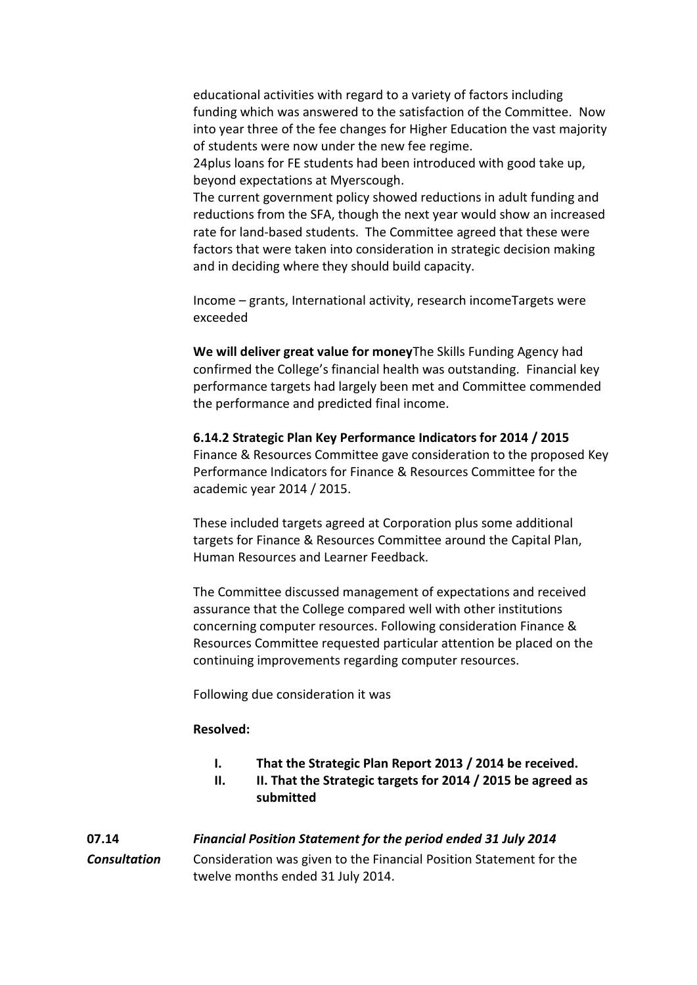educational activities with regard to a variety of factors including funding which was answered to the satisfaction of the Committee. Now into year three of the fee changes for Higher Education the vast majority of students were now under the new fee regime.

24plus loans for FE students had been introduced with good take up, beyond expectations at Myerscough.

The current government policy showed reductions in adult funding and reductions from the SFA, though the next year would show an increased rate for land-based students. The Committee agreed that these were factors that were taken into consideration in strategic decision making and in deciding where they should build capacity.

Income – grants, International activity, research incomeTargets were exceeded

**We will deliver great value for money**The Skills Funding Agency had confirmed the College's financial health was outstanding. Financial key performance targets had largely been met and Committee commended the performance and predicted final income.

**6.14.2 Strategic Plan Key Performance Indicators for 2014 / 2015** Finance & Resources Committee gave consideration to the proposed Key Performance Indicators for Finance & Resources Committee for the academic year 2014 / 2015.

These included targets agreed at Corporation plus some additional targets for Finance & Resources Committee around the Capital Plan, Human Resources and Learner Feedback.

The Committee discussed management of expectations and received assurance that the College compared well with other institutions concerning computer resources. Following consideration Finance & Resources Committee requested particular attention be placed on the continuing improvements regarding computer resources.

Following due consideration it was

### **Resolved:**

- **I. That the Strategic Plan Report 2013 / 2014 be received.**
- **II. II. That the Strategic targets for 2014 / 2015 be agreed as submitted**

# **07.14** *Financial Position Statement for the period ended 31 July 2014*

*Consultation* Consideration was given to the Financial Position Statement for the twelve months ended 31 July 2014.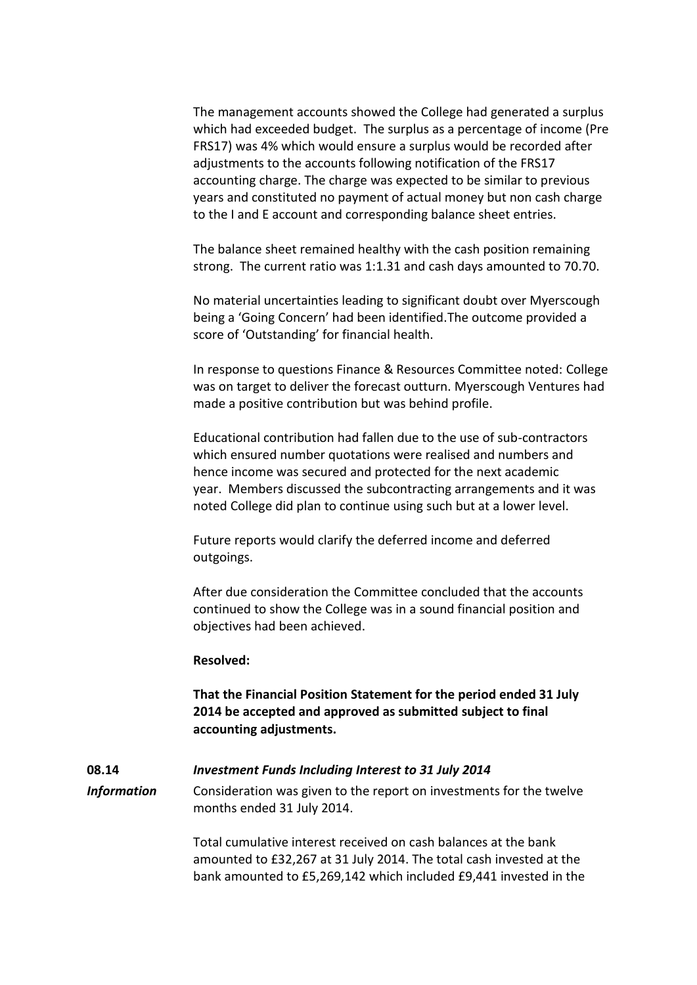The management accounts showed the College had generated a surplus which had exceeded budget. The surplus as a percentage of income (Pre FRS17) was 4% which would ensure a surplus would be recorded after adjustments to the accounts following notification of the FRS17 accounting charge. The charge was expected to be similar to previous years and constituted no payment of actual money but non cash charge to the I and E account and corresponding balance sheet entries.

The balance sheet remained healthy with the cash position remaining strong. The current ratio was 1:1.31 and cash days amounted to 70.70.

No material uncertainties leading to significant doubt over Myerscough being a 'Going Concern' had been identified.The outcome provided a score of 'Outstanding' for financial health.

In response to questions Finance & Resources Committee noted: College was on target to deliver the forecast outturn. Myerscough Ventures had made a positive contribution but was behind profile.

Educational contribution had fallen due to the use of sub-contractors which ensured number quotations were realised and numbers and hence income was secured and protected for the next academic year. Members discussed the subcontracting arrangements and it was noted College did plan to continue using such but at a lower level.

Future reports would clarify the deferred income and deferred outgoings.

After due consideration the Committee concluded that the accounts continued to show the College was in a sound financial position and objectives had been achieved.

#### **Resolved:**

**That the Financial Position Statement for the period ended 31 July 2014 be accepted and approved as submitted subject to final accounting adjustments.**

## **08.14** *Investment Funds Including Interest to 31 July 2014*

*Information* Consideration was given to the report on investments for the twelve months ended 31 July 2014.

> Total cumulative interest received on cash balances at the bank amounted to £32,267 at 31 July 2014. The total cash invested at the bank amounted to £5,269,142 which included £9,441 invested in the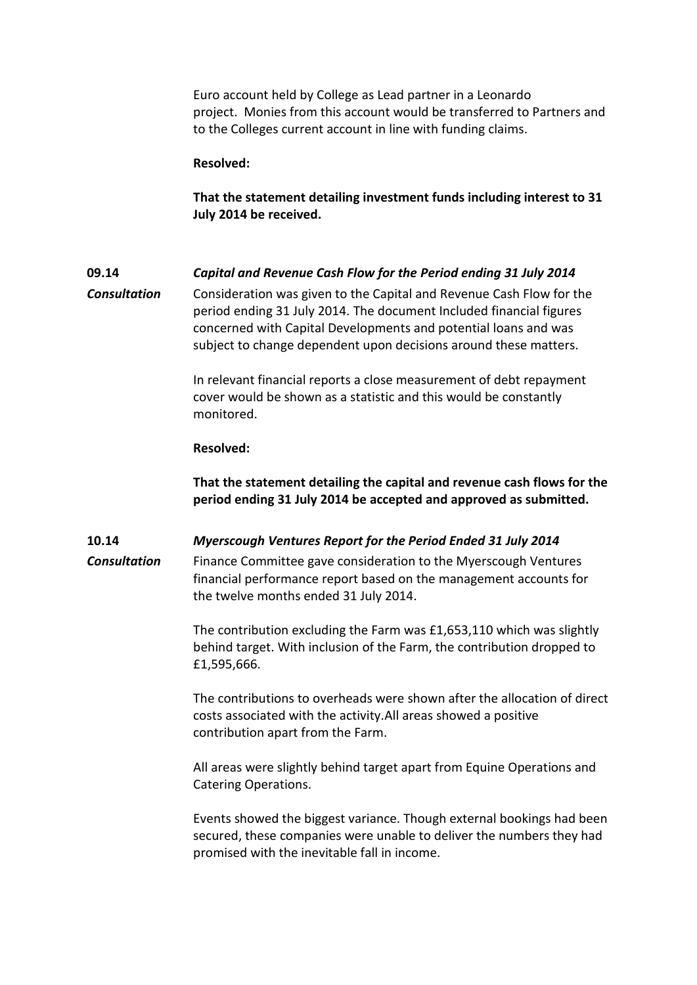Euro account held by College as Lead partner in a Leonardo project. Monies from this account would be transferred to Partners and to the Colleges current account in line with funding claims.

### **Resolved:**

**That the statement detailing investment funds including interest to 31 July 2014 be received.**

## **09.14** *Capital and Revenue Cash Flow for the Period ending 31 July 2014*

*Consultation* Consideration was given to the Capital and Revenue Cash Flow for the period ending 31 July 2014. The document Included financial figures concerned with Capital Developments and potential loans and was subject to change dependent upon decisions around these matters.

> In relevant financial reports a close measurement of debt repayment cover would be shown as a statistic and this would be constantly monitored.

## **Resolved:**

**That the statement detailing the capital and revenue cash flows for the period ending 31 July 2014 be accepted and approved as submitted.**

### **10.14** *Myerscough Ventures Report for the Period Ended 31 July 2014*

**Consultation** Finance Committee gave consideration to the Myerscough Ventures financial performance report based on the management accounts for the twelve months ended 31 July 2014.

> The contribution excluding the Farm was £1,653,110 which was slightly behind target. With inclusion of the Farm, the contribution dropped to £1,595,666.

The contributions to overheads were shown after the allocation of direct costs associated with the activity.All areas showed a positive contribution apart from the Farm.

All areas were slightly behind target apart from Equine Operations and Catering Operations.

Events showed the biggest variance. Though external bookings had been secured, these companies were unable to deliver the numbers they had promised with the inevitable fall in income.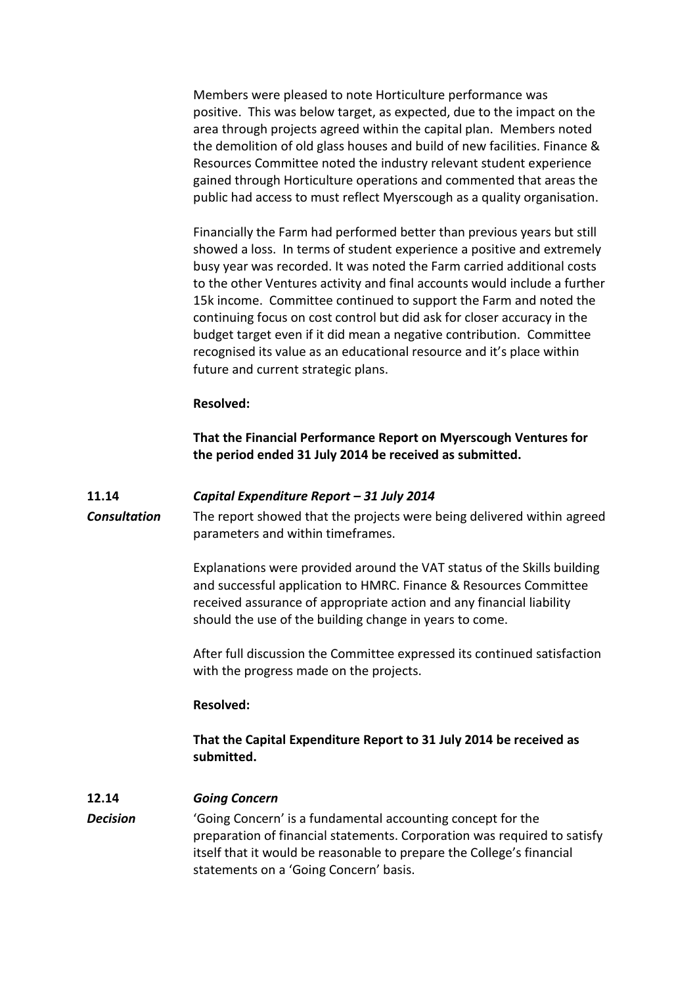Members were pleased to note Horticulture performance was positive. This was below target, as expected, due to the impact on the area through projects agreed within the capital plan. Members noted the demolition of old glass houses and build of new facilities. Finance & Resources Committee noted the industry relevant student experience gained through Horticulture operations and commented that areas the public had access to must reflect Myerscough as a quality organisation.

Financially the Farm had performed better than previous years but still showed a loss. In terms of student experience a positive and extremely busy year was recorded. It was noted the Farm carried additional costs to the other Ventures activity and final accounts would include a further 15k income. Committee continued to support the Farm and noted the continuing focus on cost control but did ask for closer accuracy in the budget target even if it did mean a negative contribution. Committee recognised its value as an educational resource and it's place within future and current strategic plans.

## **Resolved:**

**That the Financial Performance Report on Myerscough Ventures for the period ended 31 July 2014 be received as submitted.**

## **11.14** *Capital Expenditure Report – 31 July 2014*

*Consultation* The report showed that the projects were being delivered within agreed parameters and within timeframes.

> Explanations were provided around the VAT status of the Skills building and successful application to HMRC. Finance & Resources Committee received assurance of appropriate action and any financial liability should the use of the building change in years to come.

> After full discussion the Committee expressed its continued satisfaction with the progress made on the projects.

### **Resolved:**

# **That the Capital Expenditure Report to 31 July 2014 be received as submitted.**

## **12.14** *Going Concern*

**Decision** 'Going Concern' is a fundamental accounting concept for the preparation of financial statements. Corporation was required to satisfy itself that it would be reasonable to prepare the College's financial statements on a 'Going Concern' basis.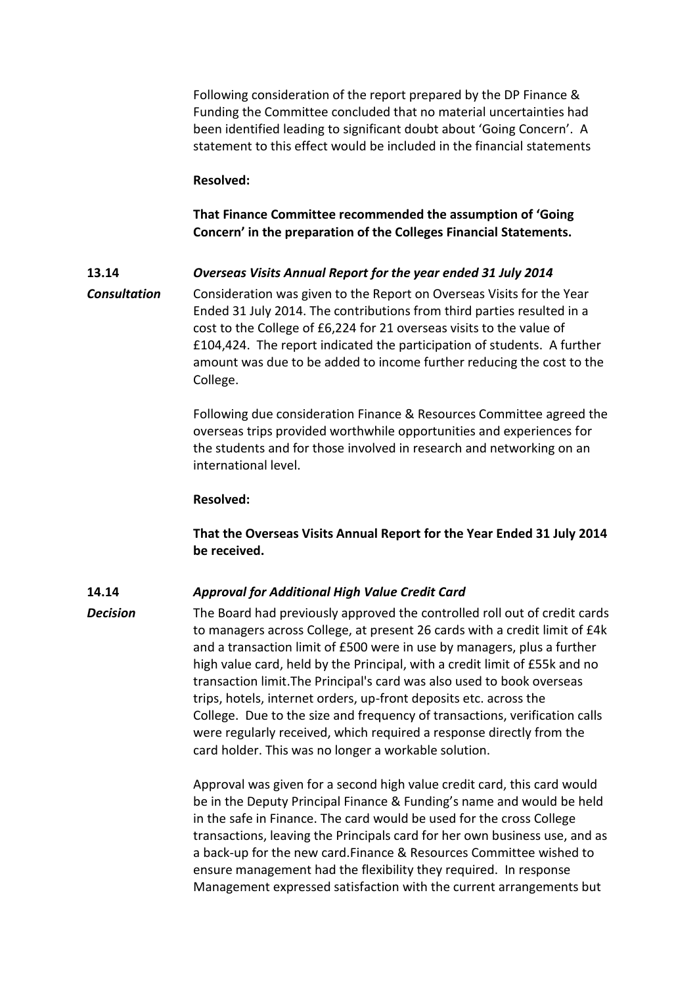Following consideration of the report prepared by the DP Finance & Funding the Committee concluded that no material uncertainties had been identified leading to significant doubt about 'Going Concern'. A statement to this effect would be included in the financial statements

#### **Resolved:**

## **That Finance Committee recommended the assumption of 'Going Concern' in the preparation of the Colleges Financial Statements.**

## **13.14** *Overseas Visits Annual Report for the year ended 31 July 2014*

*Consultation* Consideration was given to the Report on Overseas Visits for the Year Ended 31 July 2014. The contributions from third parties resulted in a cost to the College of £6,224 for 21 overseas visits to the value of £104,424. The report indicated the participation of students. A further amount was due to be added to income further reducing the cost to the College.

> Following due consideration Finance & Resources Committee agreed the overseas trips provided worthwhile opportunities and experiences for the students and for those involved in research and networking on an international level.

#### **Resolved:**

**That the Overseas Visits Annual Report for the Year Ended 31 July 2014 be received.**

### **14.14** *Approval for Additional High Value Credit Card*

*Decision* The Board had previously approved the controlled roll out of credit cards to managers across College, at present 26 cards with a credit limit of £4k and a transaction limit of £500 were in use by managers, plus a further high value card, held by the Principal, with a credit limit of £55k and no transaction limit.The Principal's card was also used to book overseas trips, hotels, internet orders, up-front deposits etc. across the College. Due to the size and frequency of transactions, verification calls were regularly received, which required a response directly from the card holder. This was no longer a workable solution.

> Approval was given for a second high value credit card, this card would be in the Deputy Principal Finance & Funding's name and would be held in the safe in Finance. The card would be used for the cross College transactions, leaving the Principals card for her own business use, and as a back-up for the new card.Finance & Resources Committee wished to ensure management had the flexibility they required. In response Management expressed satisfaction with the current arrangements but